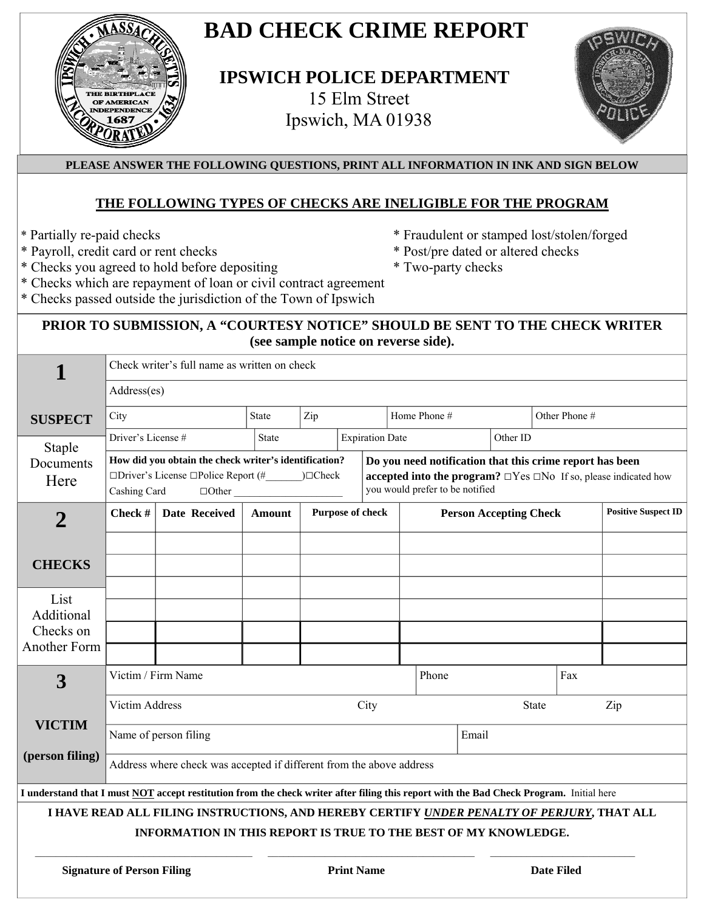

# **BAD CHECK CRIME REPORT**

 **IPSWICH POLICE DEPARTMENT**  15 Elm Street Ipswich, MA 01938



#### **PLEASE ANSWER THE FOLLOWING QUESTIONS, PRINT ALL INFORMATION IN INK AND SIGN BELOW**

#### **THE FOLLOWING TYPES OF CHECKS ARE INELIGIBLE FOR THE PROGRAM**

- 
- \* Payroll, credit card or rent checks \* Post/pre dated or altered checks
- \* Checks you agreed to hold before depositing \* Two-party checks
- \* Partially re-paid checks \* Fraudulent or stamped lost/stolen/forged
	-
	-
- \* Checks which are repayment of loan or civil contract agreement
- \* Checks passed outside the jurisdiction of the Town of Ipswich

### **PRIOR TO SUBMISSION, A "COURTESY NOTICE" SHOULD BE SENT TO THE CHECK WRITER (see sample notice on reverse side).**

|                                                                                                                                                               | Check writer's full name as written on check                         |                                                                                                                          |               |                                                                                                                                                                            |                        |              |       |                               |  |               |                            |
|---------------------------------------------------------------------------------------------------------------------------------------------------------------|----------------------------------------------------------------------|--------------------------------------------------------------------------------------------------------------------------|---------------|----------------------------------------------------------------------------------------------------------------------------------------------------------------------------|------------------------|--------------|-------|-------------------------------|--|---------------|----------------------------|
|                                                                                                                                                               | Address(es)                                                          |                                                                                                                          |               |                                                                                                                                                                            |                        |              |       |                               |  |               |                            |
| <b>SUSPECT</b>                                                                                                                                                | City                                                                 |                                                                                                                          | State         | Zip                                                                                                                                                                        |                        | Home Phone # |       |                               |  | Other Phone # |                            |
| <b>Staple</b>                                                                                                                                                 | Driver's License #                                                   |                                                                                                                          | <b>State</b>  |                                                                                                                                                                            | <b>Expiration Date</b> |              |       | Other ID                      |  |               |                            |
| Documents<br>Here                                                                                                                                             | Cashing Card                                                         | How did you obtain the check writer's identification?<br>$\Box$ Driver's License $\Box$ Police Report (#<br>$\Box$ Other | $)\Box$ Check | Do you need notification that this crime report has been<br>accepted into the program? $\Box$ Yes $\Box$ No If so, please indicated how<br>you would prefer to be notified |                        |              |       |                               |  |               |                            |
| $\overline{2}$                                                                                                                                                | Check #<br><b>Date Received</b>                                      |                                                                                                                          | Amount        | Purpose of check                                                                                                                                                           |                        |              |       | <b>Person Accepting Check</b> |  |               | <b>Positive Suspect ID</b> |
| <b>CHECKS</b>                                                                                                                                                 |                                                                      |                                                                                                                          |               |                                                                                                                                                                            |                        |              |       |                               |  |               |                            |
| List<br>Additional<br>Checks on<br>Another Form                                                                                                               |                                                                      |                                                                                                                          |               |                                                                                                                                                                            |                        |              |       |                               |  |               |                            |
| 3                                                                                                                                                             |                                                                      | Victim / Firm Name                                                                                                       |               |                                                                                                                                                                            |                        |              | Phone | Fax                           |  |               |                            |
|                                                                                                                                                               | <b>Victim Address</b>                                                |                                                                                                                          |               | City                                                                                                                                                                       |                        |              |       | <b>State</b>                  |  |               | Zip                        |
| <b>VICTIM</b>                                                                                                                                                 | Name of person filing                                                |                                                                                                                          |               |                                                                                                                                                                            |                        |              |       | Email                         |  |               |                            |
| (person filing)                                                                                                                                               | Address where check was accepted if different from the above address |                                                                                                                          |               |                                                                                                                                                                            |                        |              |       |                               |  |               |                            |
| I understand that I must NOT accept restitution from the check writer after filing this report with the Bad Check Program. Initial here                       |                                                                      |                                                                                                                          |               |                                                                                                                                                                            |                        |              |       |                               |  |               |                            |
| I HAVE READ ALL FILING INSTRUCTIONS, AND HEREBY CERTIFY UNDER PENALTY OF PERJURY, THAT ALL<br>INFORMATION IN THIS REPORT IS TRUE TO THE BEST OF MY KNOWLEDGE. |                                                                      |                                                                                                                          |               |                                                                                                                                                                            |                        |              |       |                               |  |               |                            |
| <b>Signature of Person Filing</b>                                                                                                                             |                                                                      |                                                                                                                          |               | <b>Print Name</b>                                                                                                                                                          |                        |              |       | <b>Date Filed</b>             |  |               |                            |